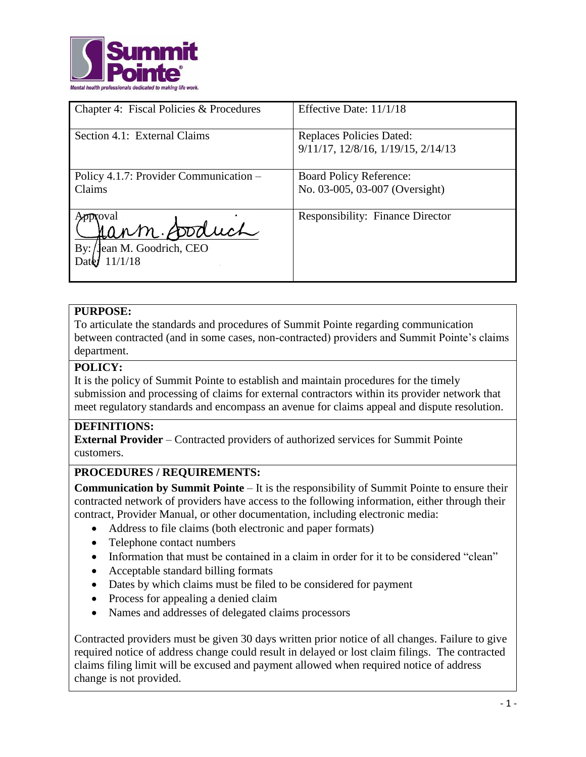

| Chapter 4: Fiscal Policies & Procedures                                 | Effective Date: 11/1/18                                          |
|-------------------------------------------------------------------------|------------------------------------------------------------------|
| Section 4.1: External Claims                                            | Replaces Policies Dated:<br>9/11/17, 12/8/16, 1/19/15, 2/14/13   |
| Policy 4.1.7: Provider Communication –<br>Claims                        | <b>Board Policy Reference:</b><br>No. 03-005, 03-007 (Oversight) |
| <b>proval</b><br>Jann Soduch<br>Jean M. Goodrich, CEO<br>By:<br>11/1/18 | <b>Responsibility: Finance Director</b>                          |

## **PURPOSE:**

To articulate the standards and procedures of Summit Pointe regarding communication between contracted (and in some cases, non-contracted) providers and Summit Pointe's claims department.

### **POLICY:**

It is the policy of Summit Pointe to establish and maintain procedures for the timely submission and processing of claims for external contractors within its provider network that meet regulatory standards and encompass an avenue for claims appeal and dispute resolution.

### **DEFINITIONS:**

**External Provider** – Contracted providers of authorized services for Summit Pointe customers.

### **PROCEDURES / REQUIREMENTS:**

**Communication by Summit Pointe** – It is the responsibility of Summit Pointe to ensure their contracted network of providers have access to the following information, either through their contract, Provider Manual, or other documentation, including electronic media:

- Address to file claims (both electronic and paper formats)
- Telephone contact numbers
- Information that must be contained in a claim in order for it to be considered "clean"
- Acceptable standard billing formats
- Dates by which claims must be filed to be considered for payment
- Process for appealing a denied claim
- Names and addresses of delegated claims processors

Contracted providers must be given 30 days written prior notice of all changes. Failure to give required notice of address change could result in delayed or lost claim filings. The contracted claims filing limit will be excused and payment allowed when required notice of address change is not provided.